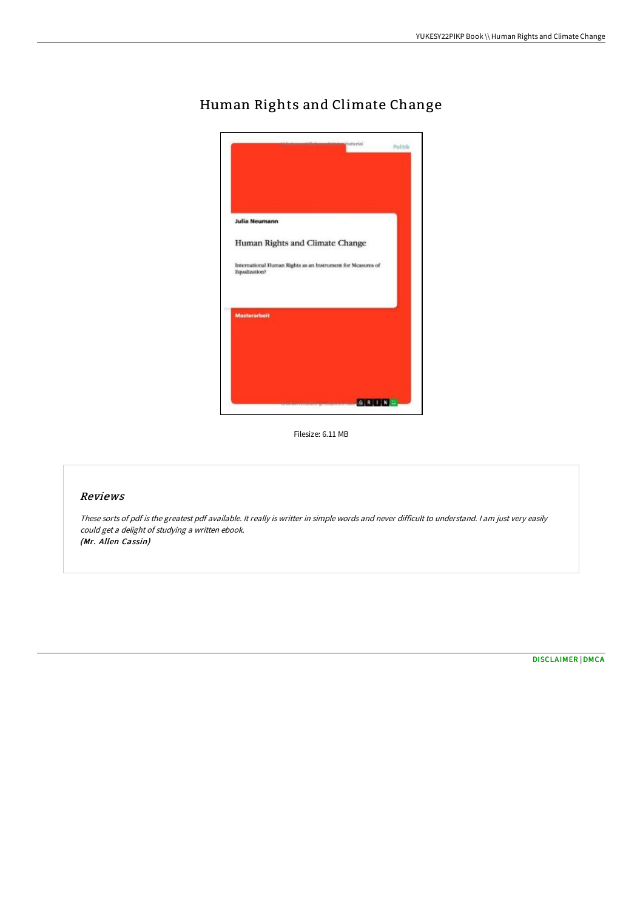

## Human Rights and Climate Change

Filesize: 6.11 MB

## Reviews

These sorts of pdf is the greatest pdf available. It really is writter in simple words and never difficult to understand. <sup>I</sup> am just very easily could get <sup>a</sup> delight of studying <sup>a</sup> written ebook. (Mr. Allen Cassin)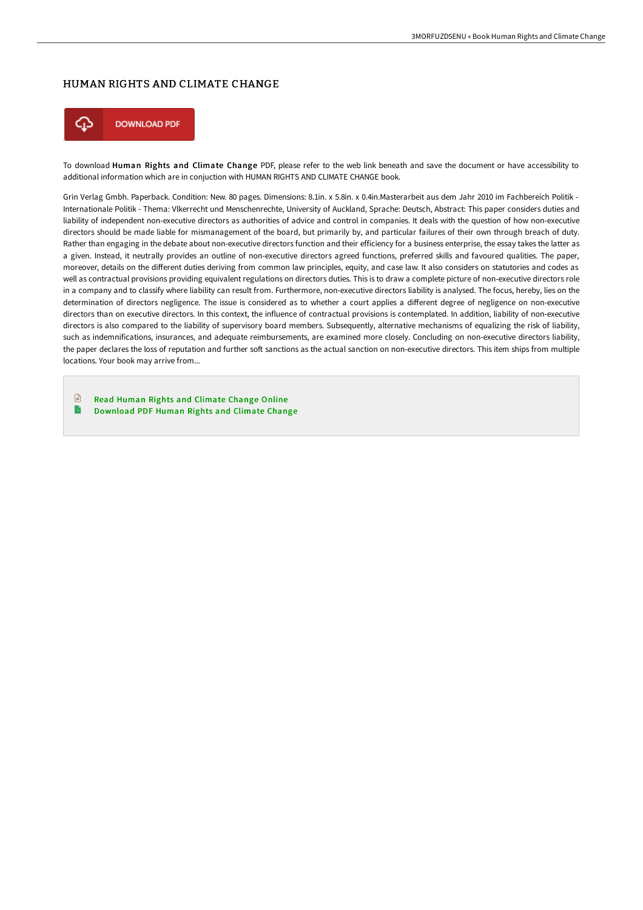## HUMAN RIGHTS AND CLIMATE CHANGE



To download Human Rights and Climate Change PDF, please refer to the web link beneath and save the document or have accessibility to additional information which are in conjuction with HUMAN RIGHTS AND CLIMATE CHANGE book.

Grin Verlag Gmbh. Paperback. Condition: New. 80 pages. Dimensions: 8.1in. x 5.8in. x 0.4in.Masterarbeit aus dem Jahr 2010 im Fachbereich Politik - Internationale Politik - Thema: Vlkerrecht und Menschenrechte, University of Auckland, Sprache: Deutsch, Abstract: This paper considers duties and liability of independent non-executive directors as authorities of advice and control in companies. It deals with the question of how non-executive directors should be made liable for mismanagement of the board, but primarily by, and particular failures of their own through breach of duty. Rather than engaging in the debate about non-executive directors function and their efficiency for a business enterprise, the essay takes the latter as a given. Instead, it neutrally provides an outline of non-executive directors agreed functions, preferred skills and favoured qualities. The paper, moreover, details on the different duties deriving from common law principles, equity, and case law. It also considers on statutories and codes as well as contractual provisions providing equivalent regulations on directors duties. This is to draw a complete picture of non-executive directors role in a company and to classify where liability can result from. Furthermore, non-executive directors liability is analysed. The focus, hereby, lies on the determination of directors negligence. The issue is considered as to whether a court applies a different degree of negligence on non-executive directors than on executive directors. In this context, the influence of contractual provisions is contemplated. In addition, liability of non-executive directors is also compared to the liability of supervisory board members. Subsequently, alternative mechanisms of equalizing the risk of liability, such as indemnifications, insurances, and adequate reimbursements, are examined more closely. Concluding on non-executive directors liability, the paper declares the loss of reputation and further soft sanctions as the actual sanction on non-executive directors. This item ships from multiple locations. Your book may arrive from...

 $\mathbb{R}$ Read Human Rights and [Climate](http://albedo.media/human-rights-and-climate-change.html) Change Online  $\mathbf{B}$ [Download](http://albedo.media/human-rights-and-climate-change.html) PDF Human Rights and Climate Change